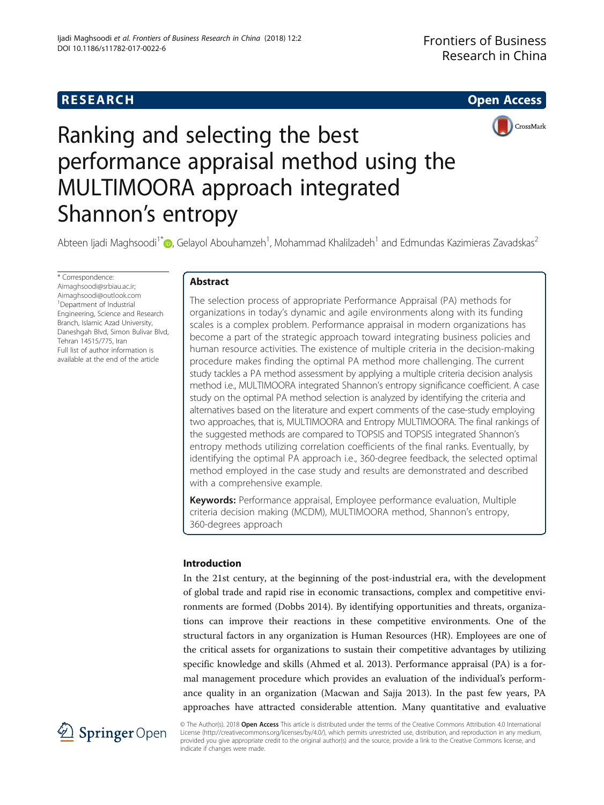# **RESEARCH CHE Open Access**



# Ranking and selecting the best performance appraisal method using the MULTIMOORA approach integrated Shannon's entropy

Abteen Ijadi Maghsoodi<sup>1[\\*](http://orcid.org/0000-0001-5944-865X)</sup>�, Gelayol Abouhamzeh<sup>1</sup>, Mohammad Khalilzadeh<sup>1</sup> and Edmundas Kazimieras Zavadskas<sup>2</sup>

\* Correspondence: [Aimaghsoodi@srbiau.ac.ir;](mailto:Aimaghsoodi@srbiau.ac.ir) [Aimaghsoodi@outlook.com](mailto:Aimaghsoodi@outlook.com) <sup>1</sup>Department of Industrial Engineering, Science and Research Branch, Islamic Azad University, Daneshgah Blvd, Simon Bulivar Blvd, Tehran 14515/775, Iran Full list of author information is available at the end of the article

# Abstract

The selection process of appropriate Performance Appraisal (PA) methods for organizations in today's dynamic and agile environments along with its funding scales is a complex problem. Performance appraisal in modern organizations has become a part of the strategic approach toward integrating business policies and human resource activities. The existence of multiple criteria in the decision-making procedure makes finding the optimal PA method more challenging. The current study tackles a PA method assessment by applying a multiple criteria decision analysis method i.e., MULTIMOORA integrated Shannon's entropy significance coefficient. A case study on the optimal PA method selection is analyzed by identifying the criteria and alternatives based on the literature and expert comments of the case-study employing two approaches, that is, MULTIMOORA and Entropy MULTIMOORA. The final rankings of the suggested methods are compared to TOPSIS and TOPSIS integrated Shannon's entropy methods utilizing correlation coefficients of the final ranks. Eventually, by identifying the optimal PA approach i.e., 360-degree feedback, the selected optimal method employed in the case study and results are demonstrated and described with a comprehensive example.

Keywords: Performance appraisal, Employee performance evaluation, Multiple criteria decision making (MCDM), MULTIMOORA method, Shannon's entropy, 360-degrees approach

# Introduction

In the 21st century, at the beginning of the post-industrial era, with the development of global trade and rapid rise in economic transactions, complex and competitive environments are formed (Dobbs [2014](#page-19-0)). By identifying opportunities and threats, organizations can improve their reactions in these competitive environments. One of the structural factors in any organization is Human Resources (HR). Employees are one of the critical assets for organizations to sustain their competitive advantages by utilizing specific knowledge and skills (Ahmed et al. [2013\)](#page-18-0). Performance appraisal (PA) is a formal management procedure which provides an evaluation of the individual's performance quality in an organization (Macwan and Sajja [2013\)](#page-20-0). In the past few years, PA approaches have attracted considerable attention. Many quantitative and evaluative



© The Author(s). 2018 Open Access This article is distributed under the terms of the Creative Commons Attribution 4.0 International License [\(http://creativecommons.org/licenses/by/4.0/](http://creativecommons.org/licenses/by/4.0/)), which permits unrestricted use, distribution, and reproduction in any medium, provided you give appropriate credit to the original author(s) and the source, provide a link to the Creative Commons license, and indicate if changes were made.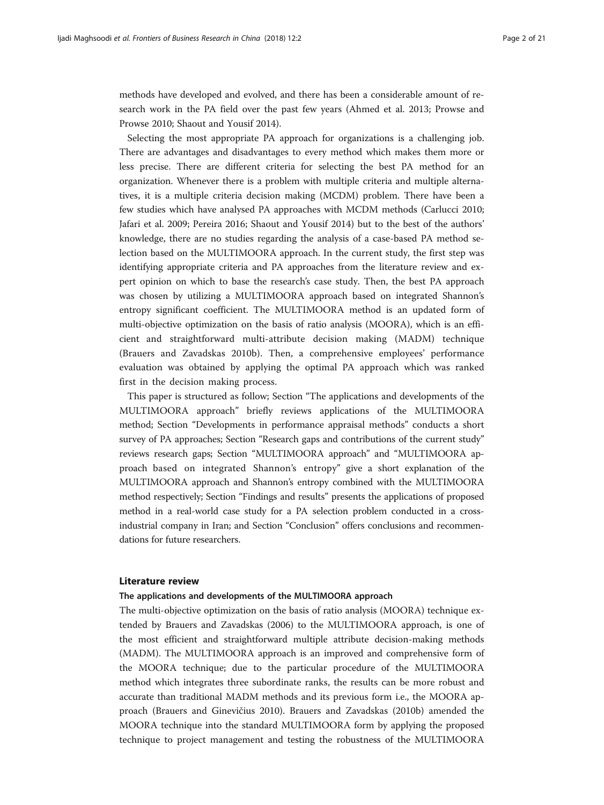methods have developed and evolved, and there has been a considerable amount of research work in the PA field over the past few years (Ahmed et al. [2013;](#page-18-0) Prowse and Prowse [2010;](#page-20-0) Shaout and Yousif [2014](#page-20-0)).

Selecting the most appropriate PA approach for organizations is a challenging job. There are advantages and disadvantages to every method which makes them more or less precise. There are different criteria for selecting the best PA method for an organization. Whenever there is a problem with multiple criteria and multiple alternatives, it is a multiple criteria decision making (MCDM) problem. There have been a few studies which have analysed PA approaches with MCDM methods (Carlucci [2010](#page-19-0); Jafari et al. [2009;](#page-19-0) Pereira [2016;](#page-20-0) Shaout and Yousif [2014](#page-20-0)) but to the best of the authors' knowledge, there are no studies regarding the analysis of a case-based PA method selection based on the MULTIMOORA approach. In the current study, the first step was identifying appropriate criteria and PA approaches from the literature review and expert opinion on which to base the research's case study. Then, the best PA approach was chosen by utilizing a MULTIMOORA approach based on integrated Shannon's entropy significant coefficient. The MULTIMOORA method is an updated form of multi-objective optimization on the basis of ratio analysis (MOORA), which is an efficient and straightforward multi-attribute decision making (MADM) technique (Brauers and Zavadskas [2010b](#page-19-0)). Then, a comprehensive employees' performance evaluation was obtained by applying the optimal PA approach which was ranked first in the decision making process.

This paper is structured as follow; Section "The applications and developments of the MULTIMOORA approach" briefly reviews applications of the MULTIMOORA method; Section "[Developments in performance appraisal methods](#page-3-0)" conducts a short survey of PA approaches; Section "[Research gaps and contributions of the current study](#page-4-0)" reviews research gaps; Section "[MULTIMOORA approach](#page-5-0)" and "[MULTIMOORA ap](#page-7-0)[proach based on integrated Shannon](#page-7-0)'s entropy" give a short explanation of the MULTIMOORA approach and Shannon's entropy combined with the MULTIMOORA method respectively; Section "[Findings and results](#page-9-0)" presents the applications of proposed method in a real-world case study for a PA selection problem conducted in a crossindustrial company in Iran; and Section "[Conclusion](#page-17-0)" offers conclusions and recommendations for future researchers.

# Literature review

# The applications and developments of the MULTIMOORA approach

The multi-objective optimization on the basis of ratio analysis (MOORA) technique extended by Brauers and Zavadskas ([2006](#page-18-0)) to the MULTIMOORA approach, is one of the most efficient and straightforward multiple attribute decision-making methods (MADM). The MULTIMOORA approach is an improved and comprehensive form of the MOORA technique; due to the particular procedure of the MULTIMOORA method which integrates three subordinate ranks, the results can be more robust and accurate than traditional MADM methods and its previous form i.e., the MOORA approach (Brauers and Ginevičius [2010\)](#page-18-0). Brauers and Zavadskas [\(2010b](#page-19-0)) amended the MOORA technique into the standard MULTIMOORA form by applying the proposed technique to project management and testing the robustness of the MULTIMOORA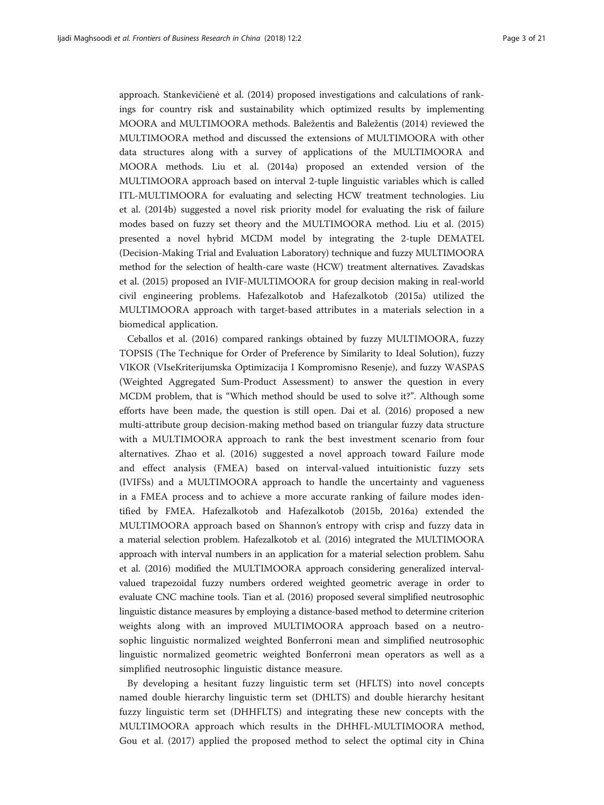approach. Stankevičienė et al. [\(2014\)](#page-20-0) proposed investigations and calculations of rankings for country risk and sustainability which optimized results by implementing MOORA and MULTIMOORA methods. Baležentis and Baležentis [\(2014\)](#page-18-0) reviewed the MULTIMOORA method and discussed the extensions of MULTIMOORA with other data structures along with a survey of applications of the MULTIMOORA and MOORA methods. Liu et al. ([2014a\)](#page-19-0) proposed an extended version of the MULTIMOORA approach based on interval 2-tuple linguistic variables which is called ITL-MULTIMOORA for evaluating and selecting HCW treatment technologies. Liu et al. [\(2014b\)](#page-20-0) suggested a novel risk priority model for evaluating the risk of failure modes based on fuzzy set theory and the MULTIMOORA method. Liu et al. ([2015](#page-20-0)) presented a novel hybrid MCDM model by integrating the 2-tuple DEMATEL (Decision-Making Trial and Evaluation Laboratory) technique and fuzzy MULTIMOORA method for the selection of health-care waste (HCW) treatment alternatives. Zavadskas et al. [\(2015\)](#page-20-0) proposed an IVIF-MULTIMOORA for group decision making in real-world civil engineering problems. Hafezalkotob and Hafezalkotob ([2015a](#page-19-0)) utilized the MULTIMOORA approach with target-based attributes in a materials selection in a biomedical application.

Ceballos et al. [\(2016\)](#page-19-0) compared rankings obtained by fuzzy MULTIMOORA, fuzzy TOPSIS (The Technique for Order of Preference by Similarity to Ideal Solution), fuzzy VIKOR (VIseKriterijumska Optimizacija I Kompromisno Resenje), and fuzzy WASPAS (Weighted Aggregated Sum-Product Assessment) to answer the question in every MCDM problem, that is "Which method should be used to solve it?". Although some efforts have been made, the question is still open. Dai et al. [\(2016\)](#page-19-0) proposed a new multi-attribute group decision-making method based on triangular fuzzy data structure with a MULTIMOORA approach to rank the best investment scenario from four alternatives. Zhao et al. ([2016\)](#page-20-0) suggested a novel approach toward Failure mode and effect analysis (FMEA) based on interval-valued intuitionistic fuzzy sets (IVIFSs) and a MULTIMOORA approach to handle the uncertainty and vagueness in a FMEA process and to achieve a more accurate ranking of failure modes identified by FMEA. Hafezalkotob and Hafezalkotob ([2015b](#page-19-0), [2016a](#page-19-0)) extended the MULTIMOORA approach based on Shannon's entropy with crisp and fuzzy data in a material selection problem. Hafezalkotob et al. ([2016\)](#page-19-0) integrated the MULTIMOORA approach with interval numbers in an application for a material selection problem. Sahu et al. [\(2016](#page-20-0)) modified the MULTIMOORA approach considering generalized intervalvalued trapezoidal fuzzy numbers ordered weighted geometric average in order to evaluate CNC machine tools. Tian et al. ([2016\)](#page-20-0) proposed several simplified neutrosophic linguistic distance measures by employing a distance-based method to determine criterion weights along with an improved MULTIMOORA approach based on a neutrosophic linguistic normalized weighted Bonferroni mean and simplified neutrosophic linguistic normalized geometric weighted Bonferroni mean operators as well as a simplified neutrosophic linguistic distance measure.

By developing a hesitant fuzzy linguistic term set (HFLTS) into novel concepts named double hierarchy linguistic term set (DHLTS) and double hierarchy hesitant fuzzy linguistic term set (DHHFLTS) and integrating these new concepts with the MULTIMOORA approach which results in the DHHFL-MULTIMOORA method, Gou et al. ([2017\)](#page-19-0) applied the proposed method to select the optimal city in China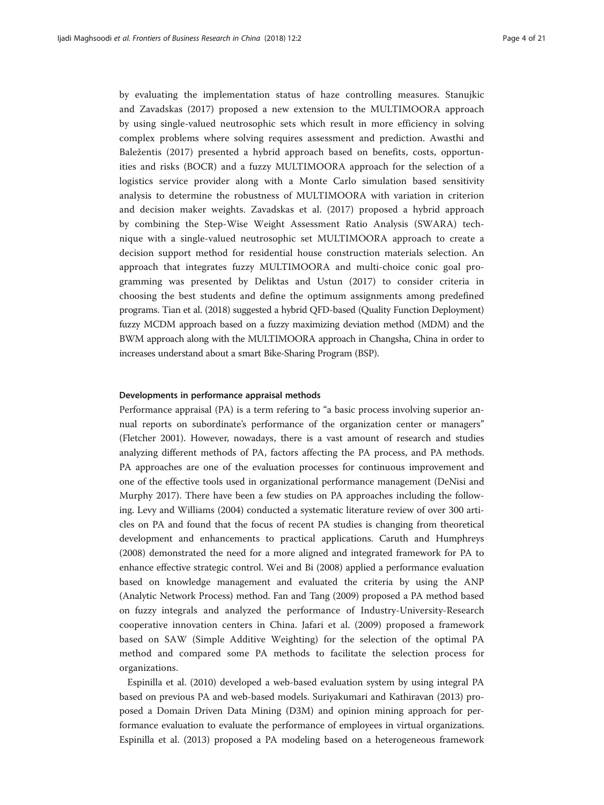<span id="page-3-0"></span>by evaluating the implementation status of haze controlling measures. Stanujkic and Zavadskas ([2017](#page-20-0)) proposed a new extension to the MULTIMOORA approach by using single-valued neutrosophic sets which result in more efficiency in solving complex problems where solving requires assessment and prediction. Awasthi and Baležentis [\(2017](#page-18-0)) presented a hybrid approach based on benefits, costs, opportunities and risks (BOCR) and a fuzzy MULTIMOORA approach for the selection of a logistics service provider along with a Monte Carlo simulation based sensitivity analysis to determine the robustness of MULTIMOORA with variation in criterion and decision maker weights. Zavadskas et al. ([2017\)](#page-20-0) proposed a hybrid approach by combining the Step-Wise Weight Assessment Ratio Analysis (SWARA) technique with a single-valued neutrosophic set MULTIMOORA approach to create a decision support method for residential house construction materials selection. An approach that integrates fuzzy MULTIMOORA and multi-choice conic goal programming was presented by Deliktas and Ustun ([2017\)](#page-19-0) to consider criteria in choosing the best students and define the optimum assignments among predefined programs. Tian et al. [\(2018](#page-20-0)) suggested a hybrid QFD-based (Quality Function Deployment) fuzzy MCDM approach based on a fuzzy maximizing deviation method (MDM) and the BWM approach along with the MULTIMOORA approach in Changsha, China in order to increases understand about a smart Bike-Sharing Program (BSP).

# Developments in performance appraisal methods

Performance appraisal (PA) is a term refering to "a basic process involving superior annual reports on subordinate's performance of the organization center or managers" (Fletcher [2001\)](#page-19-0). However, nowadays, there is a vast amount of research and studies analyzing different methods of PA, factors affecting the PA process, and PA methods. PA approaches are one of the evaluation processes for continuous improvement and one of the effective tools used in organizational performance management (DeNisi and Murphy [2017\)](#page-19-0). There have been a few studies on PA approaches including the following. Levy and Williams ([2004](#page-19-0)) conducted a systematic literature review of over 300 articles on PA and found that the focus of recent PA studies is changing from theoretical development and enhancements to practical applications. Caruth and Humphreys ([2008](#page-19-0)) demonstrated the need for a more aligned and integrated framework for PA to enhance effective strategic control. Wei and Bi [\(2008\)](#page-20-0) applied a performance evaluation based on knowledge management and evaluated the criteria by using the ANP (Analytic Network Process) method. Fan and Tang [\(2009](#page-19-0)) proposed a PA method based on fuzzy integrals and analyzed the performance of Industry-University-Research cooperative innovation centers in China. Jafari et al. [\(2009](#page-19-0)) proposed a framework based on SAW (Simple Additive Weighting) for the selection of the optimal PA method and compared some PA methods to facilitate the selection process for organizations.

Espinilla et al. ([2010](#page-19-0)) developed a web-based evaluation system by using integral PA based on previous PA and web-based models. Suriyakumari and Kathiravan [\(2013\)](#page-20-0) proposed a Domain Driven Data Mining (D3M) and opinion mining approach for performance evaluation to evaluate the performance of employees in virtual organizations. Espinilla et al. [\(2013\)](#page-19-0) proposed a PA modeling based on a heterogeneous framework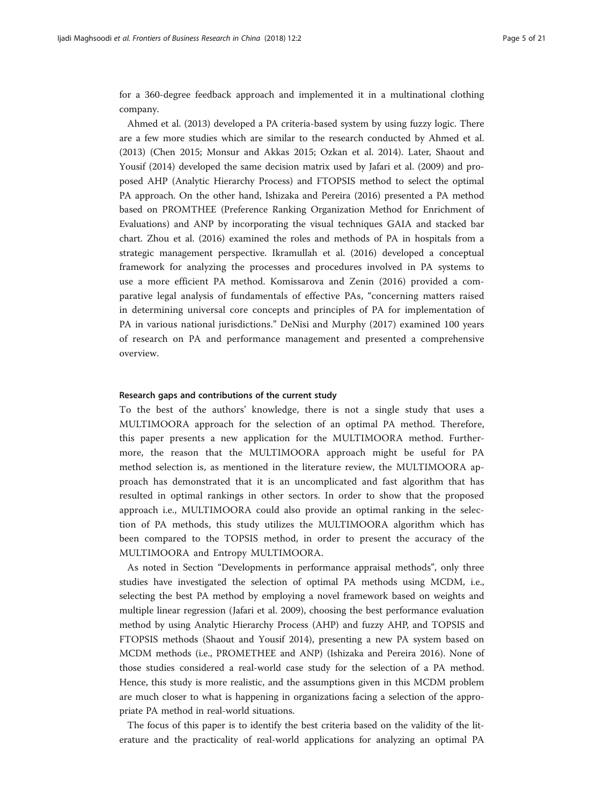<span id="page-4-0"></span>for a 360-degree feedback approach and implemented it in a multinational clothing company.

Ahmed et al. ([2013](#page-18-0)) developed a PA criteria-based system by using fuzzy logic. There are a few more studies which are similar to the research conducted by Ahmed et al. ([2013](#page-18-0)) (Chen [2015](#page-19-0); Monsur and Akkas [2015](#page-20-0); Ozkan et al. [2014\)](#page-20-0). Later, Shaout and Yousif [\(2014\)](#page-20-0) developed the same decision matrix used by Jafari et al. [\(2009\)](#page-19-0) and proposed AHP (Analytic Hierarchy Process) and FTOPSIS method to select the optimal PA approach. On the other hand, Ishizaka and Pereira ([2016](#page-19-0)) presented a PA method based on PROMTHEE (Preference Ranking Organization Method for Enrichment of Evaluations) and ANP by incorporating the visual techniques GAIA and stacked bar chart. Zhou et al. [\(2016\)](#page-20-0) examined the roles and methods of PA in hospitals from a strategic management perspective. Ikramullah et al. ([2016\)](#page-19-0) developed a conceptual framework for analyzing the processes and procedures involved in PA systems to use a more efficient PA method. Komissarova and Zenin [\(2016](#page-19-0)) provided a comparative legal analysis of fundamentals of effective PAs, "concerning matters raised in determining universal core concepts and principles of PA for implementation of PA in various national jurisdictions." DeNisi and Murphy ([2017\)](#page-19-0) examined 100 years of research on PA and performance management and presented a comprehensive overview.

## Research gaps and contributions of the current study

To the best of the authors' knowledge, there is not a single study that uses a MULTIMOORA approach for the selection of an optimal PA method. Therefore, this paper presents a new application for the MULTIMOORA method. Furthermore, the reason that the MULTIMOORA approach might be useful for PA method selection is, as mentioned in the literature review, the MULTIMOORA approach has demonstrated that it is an uncomplicated and fast algorithm that has resulted in optimal rankings in other sectors. In order to show that the proposed approach i.e., MULTIMOORA could also provide an optimal ranking in the selection of PA methods, this study utilizes the MULTIMOORA algorithm which has been compared to the TOPSIS method, in order to present the accuracy of the MULTIMOORA and Entropy MULTIMOORA.

As noted in Section "[Developments in performance appraisal methods](#page-3-0)", only three studies have investigated the selection of optimal PA methods using MCDM, i.e., selecting the best PA method by employing a novel framework based on weights and multiple linear regression (Jafari et al. [2009\)](#page-19-0), choosing the best performance evaluation method by using Analytic Hierarchy Process (AHP) and fuzzy AHP, and TOPSIS and FTOPSIS methods (Shaout and Yousif [2014\)](#page-20-0), presenting a new PA system based on MCDM methods (i.e., PROMETHEE and ANP) (Ishizaka and Pereira [2016\)](#page-19-0). None of those studies considered a real-world case study for the selection of a PA method. Hence, this study is more realistic, and the assumptions given in this MCDM problem are much closer to what is happening in organizations facing a selection of the appropriate PA method in real-world situations.

The focus of this paper is to identify the best criteria based on the validity of the literature and the practicality of real-world applications for analyzing an optimal PA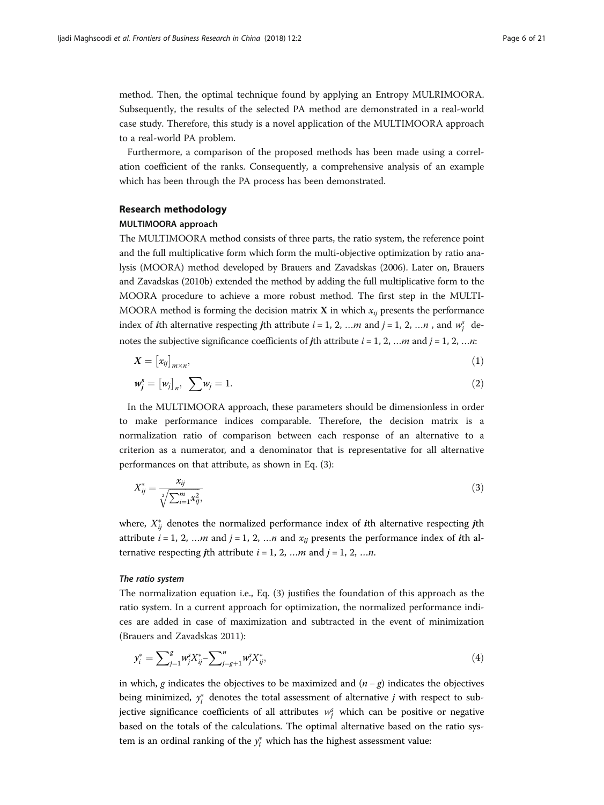<span id="page-5-0"></span>method. Then, the optimal technique found by applying an Entropy MULRIMOORA. Subsequently, the results of the selected PA method are demonstrated in a real-world case study. Therefore, this study is a novel application of the MULTIMOORA approach to a real-world PA problem.

Furthermore, a comparison of the proposed methods has been made using a correlation coefficient of the ranks. Consequently, a comprehensive analysis of an example which has been through the PA process has been demonstrated.

# Research methodology

# MULTIMOORA approach

The MULTIMOORA method consists of three parts, the ratio system, the reference point and the full multiplicative form which form the multi-objective optimization by ratio analysis (MOORA) method developed by Brauers and Zavadskas ([2006](#page-18-0)). Later on, Brauers and Zavadskas [\(2010b](#page-19-0)) extended the method by adding the full multiplicative form to the MOORA procedure to achieve a more robust method. The first step in the MULTI-MOORA method is forming the decision matrix **X** in which  $x_{ij}$  presents the performance index of *i*th alternative respecting *j*th attribute  $i = 1, 2, ...m$  and  $j = 1, 2, ...n$ , and  $w_j^s$  denotes the subjective significance coefficients of *j*th attribute  $i = 1, 2, \ldots m$  and  $j = 1, 2, \ldots n$ :

$$
X = [x_{ij}]_{m \times n},\tag{1}
$$

$$
\mathbf{w}_j^s = \begin{bmatrix} w_j \end{bmatrix}_n, \quad \sum w_j = 1. \tag{2}
$$

In the MULTIMOORA approach, these parameters should be dimensionless in order to make performance indices comparable. Therefore, the decision matrix is a normalization ratio of comparison between each response of an alternative to a criterion as a numerator, and a denominator that is representative for all alternative performances on that attribute, as shown in Eq. (3):

$$
X_{ij}^* = \frac{x_{ij}}{\sqrt[2]{\sum_{i=1}^m x_{ij}^2}},\tag{3}
$$

where,  $X^*_{ij}$  denotes the normalized performance index of  $\boldsymbol{i}$ th alternative respecting  $\boldsymbol{j}$ th attribute  $i = 1, 2, \ldots m$  and  $j = 1, 2, \ldots n$  and  $x_{ij}$  presents the performance index of *i*th alternative respecting *j*th attribute  $i = 1, 2, \dots m$  and  $j = 1, 2, \dots n$ .

# The ratio system

The normalization equation i.e., Eq. (3) justifies the foundation of this approach as the ratio system. In a current approach for optimization, the normalized performance indices are added in case of maximization and subtracted in the event of minimization (Brauers and Zavadskas [2011](#page-19-0)):

$$
y_i^* = \sum_{j=1}^g w_j^s X_{ij}^* - \sum_{j=g+1}^n w_j^s X_{ij}^*,
$$
\n(4)

in which, g indicates the objectives to be maximized and  $(n - g)$  indicates the objectives being minimized,  $y_i^*$  denotes the total assessment of alternative  $j$  with respect to subjective significance coefficients of all attributes  $w_j^s$  which can be positive or negative based on the totals of the calculations. The optimal alternative based on the ratio system is an ordinal ranking of the  $y^*_i$  which has the highest assessment value: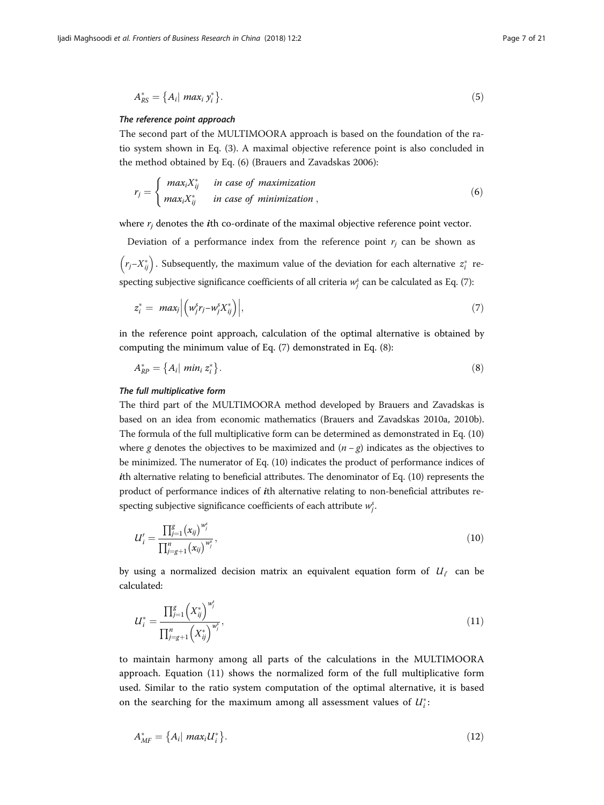<span id="page-6-0"></span>
$$
A_{RS}^* = \{A_i \mid \max_i y_i^*\}.
$$
\n<sup>(5)</sup>

# The reference point approach

The second part of the MULTIMOORA approach is based on the foundation of the ratio system shown in Eq. ([3\)](#page-5-0). A maximal objective reference point is also concluded in the method obtained by Eq. (6) (Brauers and Zavadskas [2006](#page-18-0)):

$$
r_j = \begin{cases} \text{max}_i X_{ij}^* & \text{in case of maximization} \\ \text{max}_i X_{ij}^* & \text{in case of minimization} \end{cases} \tag{6}
$$

where  $r_i$  denotes the *i*th co-ordinate of the maximal objective reference point vector.

Deviation of a performance index from the reference point  $r_i$  can be shown as  $(r_j-X_{ij}^*)$ . Subsequently, the maximum value of the deviation for each alternative  $z_i^*$  respecting subjective significance coefficients of all criteria  $w_j^s$  can be calculated as Eq. (7):

$$
z_i^* = \text{max}_j \Big| \Big( w_j^s r_j - w_j^s X_{ij}^* \Big) \Big|, \tag{7}
$$

in the reference point approach, calculation of the optimal alternative is obtained by computing the minimum value of Eq. (7) demonstrated in Eq. (8):

$$
A_{RP}^* = \{A_i \mid \min_i z_i^*\}.
$$
\n<sup>(8)</sup>

## The full multiplicative form

The third part of the MULTIMOORA method developed by Brauers and Zavadskas is based on an idea from economic mathematics (Brauers and Zavadskas [2010a, 2010b](#page-19-0)). The formula of the full multiplicative form can be determined as demonstrated in Eq. (10) where g denotes the objectives to be maximized and  $(n - g)$  indicates as the objectives to be minimized. The numerator of Eq. (10) indicates the product of performance indices of *i*th alternative relating to beneficial attributes. The denominator of Eq.  $(10)$  represents the product of performance indices of ith alternative relating to non-beneficial attributes respecting subjective significance coefficients of each attribute  $w_j^s$ .

$$
U'_{i} = \frac{\prod_{j=1}^{g} (x_{ij})^{w_{j}^{s}}}{\prod_{j=g+1}^{n} (x_{ij})^{w_{j}^{s}}},
$$
\n(10)

by using a normalized decision matrix an equivalent equation form of  $|U_i|$  can be calculated:

$$
U_i^* = \frac{\prod_{j=1}^g \left(X_{ij}^*\right)^{w_j^*}}{\prod_{j=g+1}^n \left(X_{ij}^*\right)^{w_j^*}},\tag{11}
$$

to maintain harmony among all parts of the calculations in the MULTIMOORA approach. Equation (11) shows the normalized form of the full multiplicative form used. Similar to the ratio system computation of the optimal alternative, it is based on the searching for the maximum among all assessment values of  $U_i^*$ :

$$
A_{MF}^* = \{A_i | \text{max}_i U_i^*\}.
$$
\n<sup>(12)</sup>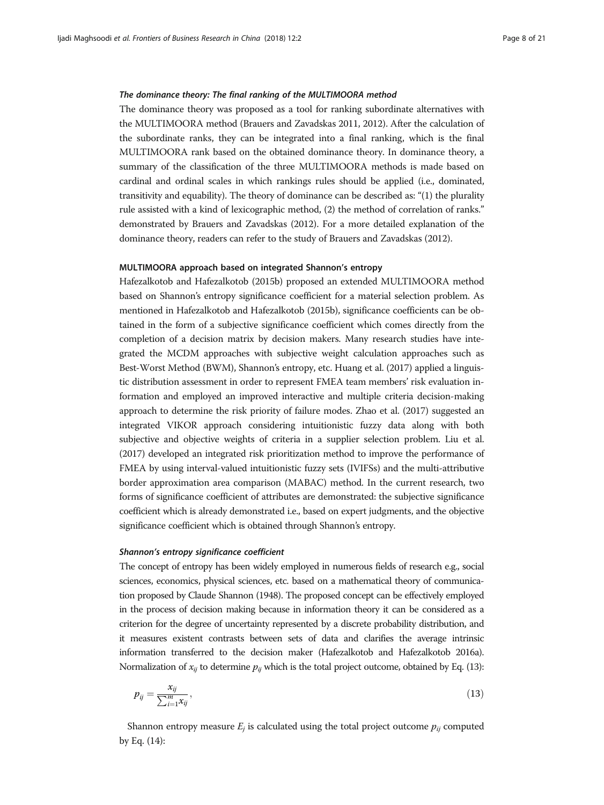#### <span id="page-7-0"></span>The dominance theory: The final ranking of the MULTIMOORA method

The dominance theory was proposed as a tool for ranking subordinate alternatives with the MULTIMOORA method (Brauers and Zavadskas [2011](#page-19-0), [2012](#page-19-0)). After the calculation of the subordinate ranks, they can be integrated into a final ranking, which is the final MULTIMOORA rank based on the obtained dominance theory. In dominance theory, a summary of the classification of the three MULTIMOORA methods is made based on cardinal and ordinal scales in which rankings rules should be applied (i.e., dominated, transitivity and equability). The theory of dominance can be described as: "(1) the plurality rule assisted with a kind of lexicographic method, (2) the method of correlation of ranks." demonstrated by Brauers and Zavadskas [\(2012](#page-19-0)). For a more detailed explanation of the dominance theory, readers can refer to the study of Brauers and Zavadskas ([2012](#page-19-0)).

# MULTIMOORA approach based on integrated Shannon's entropy

Hafezalkotob and Hafezalkotob ([2015b\)](#page-19-0) proposed an extended MULTIMOORA method based on Shannon's entropy significance coefficient for a material selection problem. As mentioned in Hafezalkotob and Hafezalkotob [\(2015b](#page-19-0)), significance coefficients can be obtained in the form of a subjective significance coefficient which comes directly from the completion of a decision matrix by decision makers. Many research studies have integrated the MCDM approaches with subjective weight calculation approaches such as Best-Worst Method (BWM), Shannon's entropy, etc. Huang et al. [\(2017\)](#page-19-0) applied a linguistic distribution assessment in order to represent FMEA team members' risk evaluation information and employed an improved interactive and multiple criteria decision-making approach to determine the risk priority of failure modes. Zhao et al. [\(2017\)](#page-20-0) suggested an integrated VIKOR approach considering intuitionistic fuzzy data along with both subjective and objective weights of criteria in a supplier selection problem. Liu et al. ([2017\)](#page-20-0) developed an integrated risk prioritization method to improve the performance of FMEA by using interval-valued intuitionistic fuzzy sets (IVIFSs) and the multi-attributive border approximation area comparison (MABAC) method. In the current research, two forms of significance coefficient of attributes are demonstrated: the subjective significance coefficient which is already demonstrated i.e., based on expert judgments, and the objective significance coefficient which is obtained through Shannon's entropy.

# Shannon's entropy significance coefficient

The concept of entropy has been widely employed in numerous fields of research e.g., social sciences, economics, physical sciences, etc. based on a mathematical theory of communication proposed by Claude Shannon ([1948](#page-20-0)). The proposed concept can be effectively employed in the process of decision making because in information theory it can be considered as a criterion for the degree of uncertainty represented by a discrete probability distribution, and it measures existent contrasts between sets of data and clarifies the average intrinsic information transferred to the decision maker (Hafezalkotob and Hafezalkotob [2016a\)](#page-19-0). Normalization of  $x_{ii}$  to determine  $p_{ii}$  which is the total project outcome, obtained by Eq. (13):

$$
p_{ij} = \frac{x_{ij}}{\sum_{i=1}^{m} x_{ij}},\tag{13}
$$

Shannon entropy measure  $E_i$  is calculated using the total project outcome  $p_{ii}$  computed by Eq. [\(14\)](#page-8-0):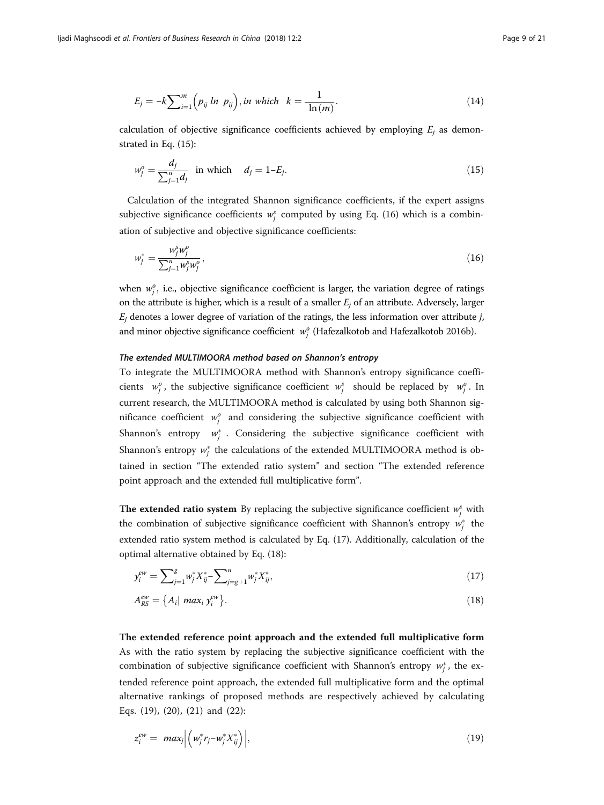<span id="page-8-0"></span>
$$
E_j = -k \sum_{i=1}^{m} \left( p_{ij} \ln p_{ij} \right), \text{ in which } k = \frac{1}{\ln(m)}.
$$
 (14)

calculation of objective significance coefficients achieved by employing  $E_i$  as demonstrated in Eq. (15):

$$
w_j^o = \frac{d_j}{\sum_{j=1}^n d_j} \quad \text{in which} \quad d_j = 1 - E_j. \tag{15}
$$

Calculation of the integrated Shannon significance coefficients, if the expert assigns subjective significance coefficients  $w_j^s$  computed by using Eq. (16) which is a combination of subjective and objective significance coefficients:

$$
w_j^* = \frac{w_j^s w_j^o}{\sum_{j=1}^n w_j^s w_j^o},\tag{16}
$$

when  $w_j^o$ , i.e., objective significance coefficient is larger, the variation degree of ratings on the attribute is higher, which is a result of a smaller  $E_i$  of an attribute. Adversely, larger  $E_i$  denotes a lower degree of variation of the ratings, the less information over attribute  $j$ , and minor objective significance coefficient  $w_j^o$  (Hafezalkotob and Hafezalkotob [2016b](#page-19-0)).

# The extended MULTIMOORA method based on Shannon's entropy

To integrate the MULTIMOORA method with Shannon's entropy significance coefficients  $w_j^o$ , the subjective significance coefficient  $w_j^s$  should be replaced by  $w_j^o$ . In current research, the MULTIMOORA method is calculated by using both Shannon significance coefficient  $w_j^o$  and considering the subjective significance coefficient with Shannon's entropy  $w_j^*$  . Considering the subjective significance coefficient with Shannon's entropy  $w_j^*$  the calculations of the extended MULTIMOORA method is obtained in section "The extended ratio system" and section "The extended reference point approach and the extended full multiplicative form".

The extended ratio system By replacing the subjective significance coefficient  $w_j^s$  with the combination of subjective significance coefficient with Shannon's entropy  $w_j^*$  the extended ratio system method is calculated by Eq. (17). Additionally, calculation of the optimal alternative obtained by Eq. (18):

$$
y_i^{ew} = \sum_{j=1}^g w_j^* X_{ij}^* - \sum_{j=g+1}^n w_j^* X_{ij}^*,
$$
\n(17)

$$
A_{RS}^{ew} = \{A_i | \text{ max}_i \text{ } y_i^{ew}\}. \tag{18}
$$

The extended reference point approach and the extended full multiplicative form As with the ratio system by replacing the subjective significance coefficient with the combination of subjective significance coefficient with Shannon's entropy  $w_j^*$ , the extended reference point approach, the extended full multiplicative form and the optimal alternative rankings of proposed methods are respectively achieved by calculating Eqs. (19), ([20\)](#page-9-0), ([21](#page-9-0)) and ([22\)](#page-9-0):

$$
z_i^{ew} = \text{max}_j \Big| \Big( w_j^* r_j - w_j^* X_{ij}^* \Big) \Big|, \tag{19}
$$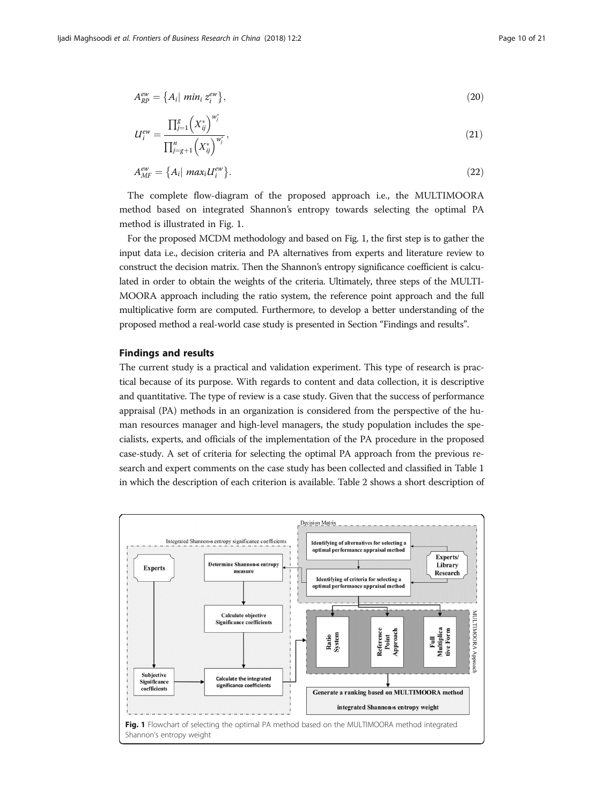<span id="page-9-0"></span>
$$
A_{RP}^{ew} = \left\{ A_i \middle| \min_i z_i^{ew} \right\},\tag{20}
$$

$$
U_i^{ew} = \frac{\prod_{j=1}^g \left(X_{ij}^*\right)^{w_j^*}}{\prod_{j=g+1}^n \left(X_{ij}^*\right)^{w_j^*}},\tag{21}
$$

$$
A_{MF}^{ew} = \{A_i | \; max_i U_i^{ew}\}.
$$
\n
$$
(22)
$$

The complete flow-diagram of the proposed approach i.e., the MULTIMOORA method based on integrated Shannon's entropy towards selecting the optimal PA method is illustrated in Fig. 1.

For the proposed MCDM methodology and based on Fig. 1, the first step is to gather the input data i.e., decision criteria and PA alternatives from experts and literature review to construct the decision matrix. Then the Shannon's entropy significance coefficient is calculated in order to obtain the weights of the criteria. Ultimately, three steps of the MULTI-MOORA approach including the ratio system, the reference point approach and the full multiplicative form are computed. Furthermore, to develop a better understanding of the proposed method a real-world case study is presented in Section "Findings and results".

# Findings and results

The current study is a practical and validation experiment. This type of research is practical because of its purpose. With regards to content and data collection, it is descriptive and quantitative. The type of review is a case study. Given that the success of performance appraisal (PA) methods in an organization is considered from the perspective of the human resources manager and high-level managers, the study population includes the specialists, experts, and officials of the implementation of the PA procedure in the proposed case-study. A set of criteria for selecting the optimal PA approach from the previous research and expert comments on the case study has been collected and classified in Table [1](#page-10-0) in which the description of each criterion is available. Table [2](#page-11-0) shows a short description of

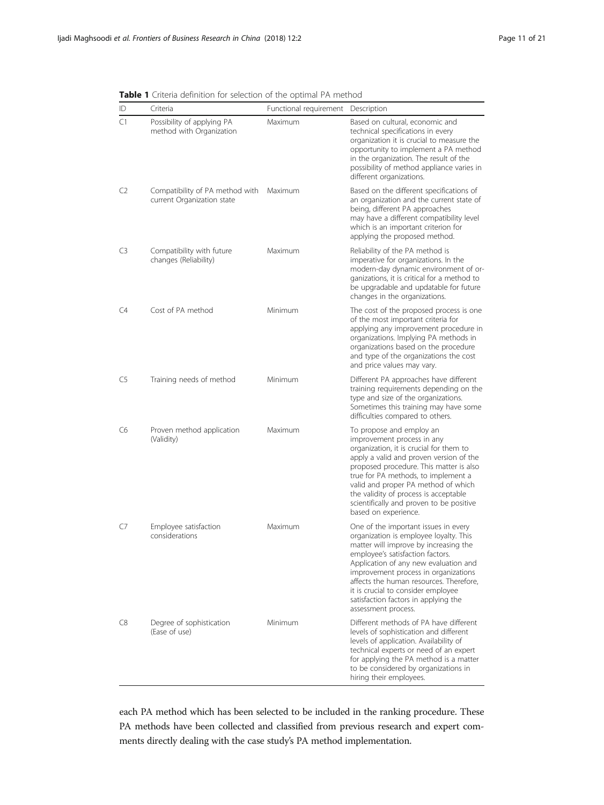| ID             | Criteria                                                      | Functional requirement Description |                                                                                                                                                                                                                                                                                                                                                                                              |
|----------------|---------------------------------------------------------------|------------------------------------|----------------------------------------------------------------------------------------------------------------------------------------------------------------------------------------------------------------------------------------------------------------------------------------------------------------------------------------------------------------------------------------------|
| C1             | Possibility of applying PA<br>method with Organization        | Maximum                            | Based on cultural, economic and<br>technical specifications in every<br>organization it is crucial to measure the<br>opportunity to implement a PA method<br>in the organization. The result of the<br>possibility of method appliance varies in<br>different organizations.                                                                                                                 |
| C <sub>2</sub> | Compatibility of PA method with<br>current Organization state | Maximum                            | Based on the different specifications of<br>an organization and the current state of<br>being, different PA approaches<br>may have a different compatibility level<br>which is an important criterion for<br>applying the proposed method.                                                                                                                                                   |
| C <sub>3</sub> | Compatibility with future<br>changes (Reliability)            | Maximum                            | Reliability of the PA method is<br>imperative for organizations. In the<br>modern-day dynamic environment of or-<br>ganizations, it is critical for a method to<br>be upgradable and updatable for future<br>changes in the organizations.                                                                                                                                                   |
| C4             | Cost of PA method                                             | Minimum                            | The cost of the proposed process is one<br>of the most important criteria for<br>applying any improvement procedure in<br>organizations. Implying PA methods in<br>organizations based on the procedure<br>and type of the organizations the cost<br>and price values may vary.                                                                                                              |
| C5             | Training needs of method                                      | Minimum                            | Different PA approaches have different<br>training requirements depending on the<br>type and size of the organizations.<br>Sometimes this training may have some<br>difficulties compared to others.                                                                                                                                                                                         |
| C <sub>6</sub> | Proven method application<br>(Validity)                       | Maximum                            | To propose and employ an<br>improvement process in any<br>organization, it is crucial for them to<br>apply a valid and proven version of the<br>proposed procedure. This matter is also<br>true for PA methods, to implement a<br>valid and proper PA method of which<br>the validity of process is acceptable<br>scientifically and proven to be positive<br>based on experience.           |
| C7             | Employee satisfaction<br>considerations                       | Maximum                            | One of the important issues in every<br>organization is employee loyalty. This<br>matter will improve by increasing the<br>employee's satisfaction factors.<br>Application of any new evaluation and<br>improvement process in organizations<br>affects the human resources. Therefore,<br>it is crucial to consider employee<br>satisfaction factors in applying the<br>assessment process. |
| C8             | Degree of sophistication<br>(Ease of use)                     | Minimum                            | Different methods of PA have different<br>levels of sophistication and different<br>levels of application. Availability of<br>technical experts or need of an expert<br>for applying the PA method is a matter<br>to be considered by organizations in<br>hiring their employees.                                                                                                            |

<span id="page-10-0"></span>Table 1 Criteria definition for selection of the optimal PA method

each PA method which has been selected to be included in the ranking procedure. These PA methods have been collected and classified from previous research and expert comments directly dealing with the case study's PA method implementation.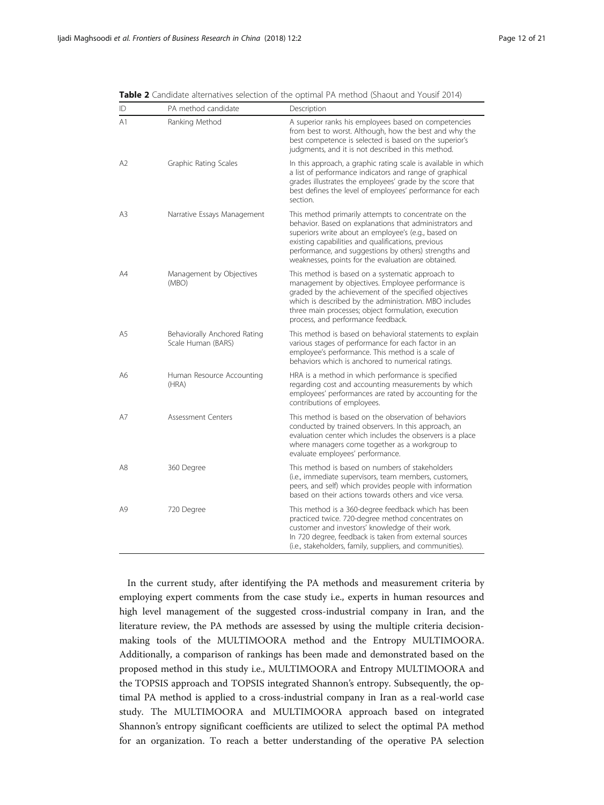| ID             | PA method candidate                                | Description                                                                                                                                                                                                                                                                                                                                  |
|----------------|----------------------------------------------------|----------------------------------------------------------------------------------------------------------------------------------------------------------------------------------------------------------------------------------------------------------------------------------------------------------------------------------------------|
| A1             | Ranking Method                                     | A superior ranks his employees based on competencies<br>from best to worst. Although, how the best and why the<br>best competence is selected is based on the superior's<br>judgments, and it is not described in this method.                                                                                                               |
| A <sub>2</sub> | Graphic Rating Scales                              | In this approach, a graphic rating scale is available in which<br>a list of performance indicators and range of graphical<br>grades illustrates the employees' grade by the score that<br>best defines the level of employees' performance for each<br>section.                                                                              |
| A3             | Narrative Essays Management                        | This method primarily attempts to concentrate on the<br>behavior. Based on explanations that administrators and<br>superiors write about an employee's (e.g., based on<br>existing capabilities and qualifications, previous<br>performance, and suggestions by others) strengths and<br>weaknesses, points for the evaluation are obtained. |
| A4             | Management by Objectives<br>(MBO)                  | This method is based on a systematic approach to<br>management by objectives. Employee performance is<br>graded by the achievement of the specified objectives<br>which is described by the administration. MBO includes<br>three main processes; object formulation, execution<br>process, and performance feedback.                        |
| A5             | Behaviorally Anchored Rating<br>Scale Human (BARS) | This method is based on behavioral statements to explain<br>various stages of performance for each factor in an<br>employee's performance. This method is a scale of<br>behaviors which is anchored to numerical ratings.                                                                                                                    |
| A6             | Human Resource Accounting<br>(HRA)                 | HRA is a method in which performance is specified<br>regarding cost and accounting measurements by which<br>employees' performances are rated by accounting for the<br>contributions of employees.                                                                                                                                           |
| A7             | Assessment Centers                                 | This method is based on the observation of behaviors<br>conducted by trained observers. In this approach, an<br>evaluation center which includes the observers is a place<br>where managers come together as a workgroup to<br>evaluate employees' performance.                                                                              |
| A8             | 360 Degree                                         | This method is based on numbers of stakeholders<br>(i.e., immediate supervisors, team members, customers,<br>peers, and self) which provides people with information<br>based on their actions towards others and vice versa.                                                                                                                |
| A9             | 720 Degree                                         | This method is a 360-degree feedback which has been<br>practiced twice. 720-degree method concentrates on<br>customer and investors' knowledge of their work.<br>In 720 degree, feedback is taken from external sources<br>(i.e., stakeholders, family, suppliers, and communities).                                                         |

<span id="page-11-0"></span>Table 2 Candidate alternatives selection of the optimal PA method (Shaout and Yousif [2014](#page-20-0))

In the current study, after identifying the PA methods and measurement criteria by employing expert comments from the case study i.e., experts in human resources and high level management of the suggested cross-industrial company in Iran, and the literature review, the PA methods are assessed by using the multiple criteria decisionmaking tools of the MULTIMOORA method and the Entropy MULTIMOORA. Additionally, a comparison of rankings has been made and demonstrated based on the proposed method in this study i.e., MULTIMOORA and Entropy MULTIMOORA and the TOPSIS approach and TOPSIS integrated Shannon's entropy. Subsequently, the optimal PA method is applied to a cross-industrial company in Iran as a real-world case study. The MULTIMOORA and MULTIMOORA approach based on integrated Shannon's entropy significant coefficients are utilized to select the optimal PA method for an organization. To reach a better understanding of the operative PA selection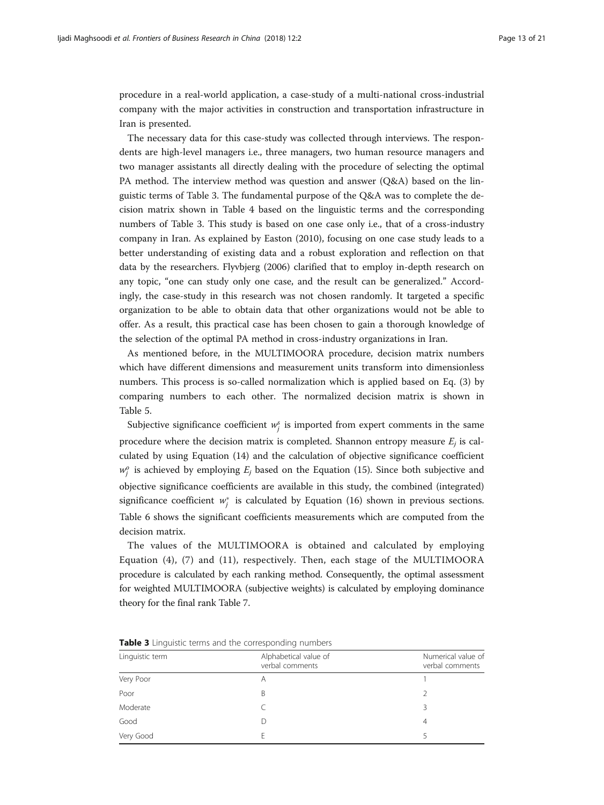procedure in a real-world application, a case-study of a multi-national cross-industrial company with the major activities in construction and transportation infrastructure in Iran is presented.

The necessary data for this case-study was collected through interviews. The respondents are high-level managers i.e., three managers, two human resource managers and two manager assistants all directly dealing with the procedure of selecting the optimal PA method. The interview method was question and answer (Q&A) based on the linguistic terms of Table 3. The fundamental purpose of the Q&A was to complete the decision matrix shown in Table [4](#page-13-0) based on the linguistic terms and the corresponding numbers of Table 3. This study is based on one case only i.e., that of a cross-industry company in Iran. As explained by Easton ([2010](#page-19-0)), focusing on one case study leads to a better understanding of existing data and a robust exploration and reflection on that data by the researchers. Flyvbjerg [\(2006\)](#page-19-0) clarified that to employ in-depth research on any topic, "one can study only one case, and the result can be generalized." Accordingly, the case-study in this research was not chosen randomly. It targeted a specific organization to be able to obtain data that other organizations would not be able to offer. As a result, this practical case has been chosen to gain a thorough knowledge of the selection of the optimal PA method in cross-industry organizations in Iran.

As mentioned before, in the MULTIMOORA procedure, decision matrix numbers which have different dimensions and measurement units transform into dimensionless numbers. This process is so-called normalization which is applied based on Eq. [\(3](#page-5-0)) by comparing numbers to each other. The normalized decision matrix is shown in Table [5.](#page-13-0)

Subjective significance coefficient  $w_j^s$  is imported from expert comments in the same procedure where the decision matrix is completed. Shannon entropy measure  $E_i$  is calculated by using Equation ([14\)](#page-8-0) and the calculation of objective significance coefficient  $w_j^o$  is achieved by employing  $E_j$  based on the Equation [\(15](#page-8-0)). Since both subjective and objective significance coefficients are available in this study, the combined (integrated) significance coefficient  $w_j^*$  is calculated by Equation ([16](#page-8-0)) shown in previous sections. Table [6](#page-14-0) shows the significant coefficients measurements which are computed from the decision matrix.

The values of the MULTIMOORA is obtained and calculated by employing Equation ([4](#page-5-0)), ([7\)](#page-6-0) and ([11\)](#page-6-0), respectively. Then, each stage of the MULTIMOORA procedure is calculated by each ranking method. Consequently, the optimal assessment for weighted MULTIMOORA (subjective weights) is calculated by employing dominance theory for the final rank Table [7.](#page-14-0)

| Linguistic term | Alphabetical value of<br>verbal comments | Numerical value of<br>verbal comments |
|-----------------|------------------------------------------|---------------------------------------|
| Very Poor       | Α                                        |                                       |
| Poor            | B                                        |                                       |
| Moderate        |                                          |                                       |
| Good            |                                          | 4                                     |
| Very Good       |                                          |                                       |

| <b>Table 3</b> Linguistic terms and the corresponding numbers |  |  |  |
|---------------------------------------------------------------|--|--|--|
|---------------------------------------------------------------|--|--|--|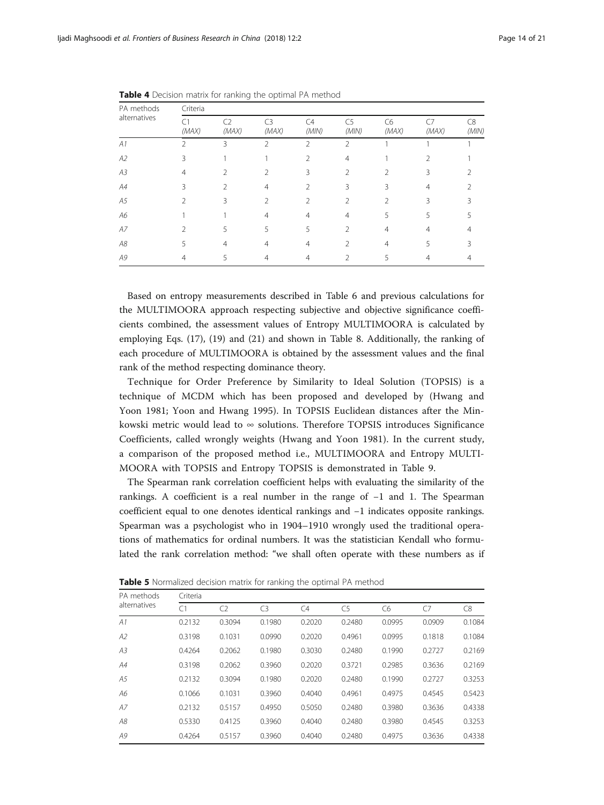| PA methods<br>alternatives | Criteria             |                         |                |               |                |                         |             |             |  |  |
|----------------------------|----------------------|-------------------------|----------------|---------------|----------------|-------------------------|-------------|-------------|--|--|
|                            | $\subset$ 1<br>(MAX) | C <sub>2</sub><br>(MAX) | C3<br>(MAX)    | C4<br>(MIN)   | C5<br>(MIN)    | C <sub>6</sub><br>(MAX) | С7<br>(MAX) | C8<br>(MIN) |  |  |
| A1                         | $\mathfrak{D}$       | 3                       | $\overline{2}$ | 2             | 2              |                         |             |             |  |  |
| A2                         | 3                    |                         |                | $\mathcal{P}$ | $\overline{4}$ |                         |             |             |  |  |
| A3                         | 4                    |                         | 2              | 3             | $\mathfrak{D}$ | $\mathcal{P}$           | 3           |             |  |  |
| A4                         | 3                    | $\mathcal{P}$           | $\overline{4}$ | $\mathcal{P}$ | 3              | 3                       | 4           | 2           |  |  |
| A5                         |                      | ζ                       | $\mathfrak{D}$ | $\mathcal{P}$ | $\mathcal{P}$  | $\mathcal{P}$           | 3           | ζ           |  |  |
| А6                         |                      |                         | 4              | 4             | 4              | 5                       | 5           | 5           |  |  |
| А7                         | C.                   | 5                       | 5              | 5             | $\mathfrak{D}$ | $\overline{4}$          | 4           | 4           |  |  |
| A8                         |                      | $\overline{4}$          | $\overline{4}$ | 4             | $\mathfrak{D}$ | 4                       | 5           | ζ           |  |  |
| А9                         | 4                    |                         | 4              | 4             | $\mathcal{P}$  | 5                       | 4           | 4           |  |  |
|                            |                      |                         |                |               |                |                         |             |             |  |  |

<span id="page-13-0"></span>Table 4 Decision matrix for ranking the optimal PA method

Based on entropy measurements described in Table [6](#page-14-0) and previous calculations for the MULTIMOORA approach respecting subjective and objective significance coefficients combined, the assessment values of Entropy MULTIMOORA is calculated by employing Eqs. [\(17](#page-8-0)), ([19](#page-8-0)) and [\(21\)](#page-9-0) and shown in Table [8](#page-15-0). Additionally, the ranking of each procedure of MULTIMOORA is obtained by the assessment values and the final rank of the method respecting dominance theory.

Technique for Order Preference by Similarity to Ideal Solution (TOPSIS) is a technique of MCDM which has been proposed and developed by (Hwang and Yoon [1981;](#page-19-0) Yoon and Hwang [1995](#page-20-0)). In TOPSIS Euclidean distances after the Minkowski metric would lead to  $\infty$  solutions. Therefore TOPSIS introduces Significance Coefficients, called wrongly weights (Hwang and Yoon [1981\)](#page-19-0). In the current study, a comparison of the proposed method i.e., MULTIMOORA and Entropy MULTI-MOORA with TOPSIS and Entropy TOPSIS is demonstrated in Table [9.](#page-15-0)

The Spearman rank correlation coefficient helps with evaluating the similarity of the rankings. A coefficient is a real number in the range of −1 and 1. The Spearman coefficient equal to one denotes identical rankings and −1 indicates opposite rankings. Spearman was a psychologist who in 1904–1910 wrongly used the traditional operations of mathematics for ordinal numbers. It was the statistician Kendall who formulated the rank correlation method: "we shall often operate with these numbers as if

| PA methods   | Criteria |                |                |        |                |                |        |        |  |
|--------------|----------|----------------|----------------|--------|----------------|----------------|--------|--------|--|
| alternatives | C1       | C <sub>2</sub> | C <sub>3</sub> | C4     | C <sub>5</sub> | C <sub>6</sub> | C7     | C8     |  |
| A1           | 0.2132   | 0.3094         | 0.1980         | 0.2020 | 0.2480         | 0.0995         | 0.0909 | 0.1084 |  |
| A2           | 0.3198   | 0.1031         | 0.0990         | 0.2020 | 0.4961         | 0.0995         | 0.1818 | 0.1084 |  |
| A3           | 0.4264   | 0.2062         | 0.1980         | 0.3030 | 0.2480         | 0.1990         | 0.2727 | 0.2169 |  |
| A4           | 0.3198   | 0.2062         | 0.3960         | 0.2020 | 0.3721         | 0.2985         | 0.3636 | 0.2169 |  |
| A5           | 0.2132   | 0.3094         | 0.1980         | 0.2020 | 0.2480         | 0.1990         | 0.2727 | 0.3253 |  |
| A6           | 0.1066   | 0.1031         | 0.3960         | 0.4040 | 0.4961         | 0.4975         | 0.4545 | 0.5423 |  |
| A7           | 0.2132   | 0.5157         | 0.4950         | 0.5050 | 0.2480         | 0.3980         | 0.3636 | 0.4338 |  |
| A8           | 0.5330   | 0.4125         | 0.3960         | 0.4040 | 0.2480         | 0.3980         | 0.4545 | 0.3253 |  |
| A9           | 0.4264   | 0.5157         | 0.3960         | 0.4040 | 0.2480         | 0.4975         | 0.3636 | 0.4338 |  |

Table 5 Normalized decision matrix for ranking the optimal PA method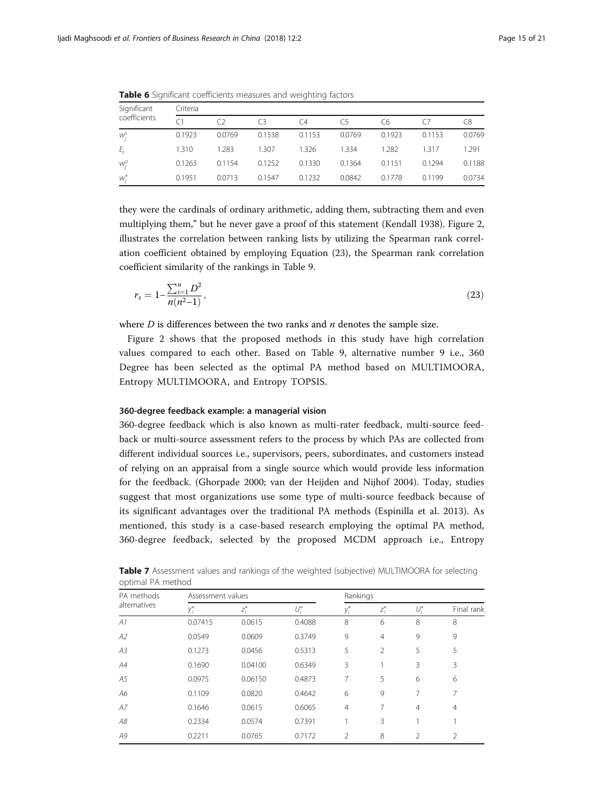| Significant<br>coefficients | Criteria |        |                |                |                |                |        |        |
|-----------------------------|----------|--------|----------------|----------------|----------------|----------------|--------|--------|
|                             | С1       |        | C <sub>3</sub> | C <sub>4</sub> | C <sub>5</sub> | C <sub>6</sub> |        | C8     |
| $W_i^S$                     | 0.1923   | 0.0769 | 0.1538         | 0.1153         | 0.0769         | 0.1923         | 0.1153 | 0.0769 |
| $E_i$                       | 1.310    | 1.283  | 1.307          | 1.326          | 1.334          | 1.282          | 1.317  | 1.291  |
| $W_i^O$                     | 0.1263   | 0.1154 | 0.1252         | 0.1330         | 0.1364         | 0.1151         | 0.1294 | 0.1188 |
| $W_i^*$                     | 0.1951   | 0.0713 | 0.1547         | 0.1232         | 0.0842         | 0.1778         | 0.1199 | 0.0734 |

<span id="page-14-0"></span>Table 6 Significant coefficients measures and weighting factors

they were the cardinals of ordinary arithmetic, adding them, subtracting them and even multiplying them," but he never gave a proof of this statement (Kendall [1938\)](#page-19-0). Figure [2](#page-16-0), illustrates the correlation between ranking lists by utilizing the Spearman rank correlation coefficient obtained by employing Equation (23), the Spearman rank correlation coefficient similarity of the rankings in Table [9](#page-15-0).

$$
r_s = 1 - \frac{\sum_{i=1}^{n} D^2}{n(n^2 - 1)},
$$
\n(23)

where  $D$  is differences between the two ranks and  $n$  denotes the sample size.

Figure [2](#page-16-0) shows that the proposed methods in this study have high correlation values compared to each other. Based on Table [9,](#page-15-0) alternative number 9 i.e., 360 Degree has been selected as the optimal PA method based on MULTIMOORA, Entropy MULTIMOORA, and Entropy TOPSIS.

# 360-degree feedback example: a managerial vision

360-degree feedback which is also known as multi-rater feedback, multi-source feedback or multi-source assessment refers to the process by which PAs are collected from different individual sources i.e., supervisors, peers, subordinates, and customers instead of relying on an appraisal from a single source which would provide less information for the feedback. (Ghorpade [2000](#page-19-0); van der Heijden and Nijhof [2004\)](#page-20-0). Today, studies suggest that most organizations use some type of multi-source feedback because of its significant advantages over the traditional PA methods (Espinilla et al. [2013](#page-19-0)). As mentioned, this study is a case-based research employing the optimal PA method, 360-degree feedback, selected by the proposed MCDM approach i.e., Entropy

| PA methods   | Assessment values |         |        | Rankings       |                |                |            |
|--------------|-------------------|---------|--------|----------------|----------------|----------------|------------|
| alternatives |                   | $Z_i^*$ | U*     | $y_i^*$        | $Z_i^*$        | $U^*$          | Final rank |
| A1           | 0.07415           | 0.0615  | 0.4088 | 8              | 6              | 8              | 8          |
| A2           | 0.0549            | 0.0609  | 0.3749 | 9              | $\overline{4}$ | 9              | 9          |
| A3           | 0.1273            | 0.0456  | 0.5313 | 5              | $\overline{2}$ | 5              | 5          |
| A4           | 0.1690            | 0.04100 | 0.6349 | 3              |                | 3              | 3          |
| A5           | 0.0975            | 0.06150 | 0.4873 | 7              | 5              | 6              | 6          |
| A6           | 0.1109            | 0.0820  | 0.4642 | 6              | $\circ$        | 7              | 7          |
| A7           | 0.1646            | 0.0615  | 0.6065 | $\overline{4}$ | 7              | 4              | 4          |
| A8           | 0.2334            | 0.0574  | 0.7391 |                | 3              |                |            |
| A9           | 0.2211            | 0.0765  | 0.7172 | 2              | 8              | $\mathfrak{D}$ | 2          |

Table 7 Assessment values and rankings of the weighted (subjective) MULTIMOORA for selecting optimal PA method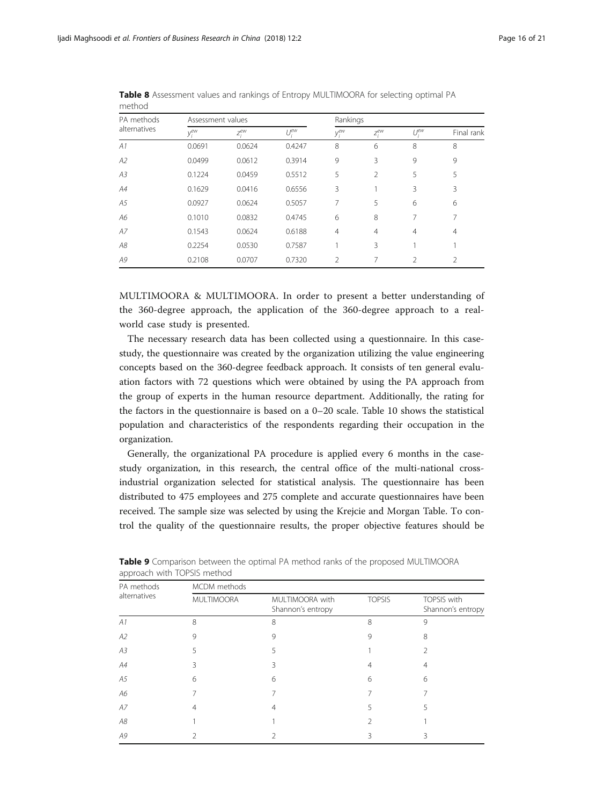| PA methods   | Assessment values |            | Rankings          |                |                |                |                |
|--------------|-------------------|------------|-------------------|----------------|----------------|----------------|----------------|
| alternatives | $V_i^{ew}$        | $Z_i^{ew}$ | l J <sup>ew</sup> | $y_i^{ew}$     | $Z_i^{ew}$     | $U^{ew}$       | Final rank     |
| A1           | 0.0691            | 0.0624     | 0.4247            | 8              | 6              | 8              | 8              |
| А2           | 0.0499            | 0.0612     | 0.3914            | 9              | 3              | 9              | 9              |
| A3           | 0.1224            | 0.0459     | 0.5512            | 5              | $\overline{2}$ | 5              | 5              |
| A4           | 0.1629            | 0.0416     | 0.6556            | 3              |                | 3              | 3              |
| A5           | 0.0927            | 0.0624     | 0.5057            | $\overline{7}$ | 5              | 6              | 6              |
| A6           | 0.1010            | 0.0832     | 0.4745            | 6              | 8              | 7              | 7              |
| А7           | 0.1543            | 0.0624     | 0.6188            | $\overline{4}$ | $\overline{4}$ | $\overline{4}$ | $\overline{4}$ |
| Α8           | 0.2254            | 0.0530     | 0.7587            |                | 3              |                |                |
| А9           | 0.2108            | 0.0707     | 0.7320            | $\mathfrak{D}$ | 7              | $\mathcal{P}$  | 2              |

<span id="page-15-0"></span>Table 8 Assessment values and rankings of Entropy MULTIMOORA for selecting optimal PA method

MULTIMOORA & MULTIMOORA. In order to present a better understanding of the 360-degree approach, the application of the 360-degree approach to a realworld case study is presented.

The necessary research data has been collected using a questionnaire. In this casestudy, the questionnaire was created by the organization utilizing the value engineering concepts based on the 360-degree feedback approach. It consists of ten general evaluation factors with 72 questions which were obtained by using the PA approach from the group of experts in the human resource department. Additionally, the rating for the factors in the questionnaire is based on a 0–20 scale. Table [10](#page-16-0) shows the statistical population and characteristics of the respondents regarding their occupation in the organization.

Generally, the organizational PA procedure is applied every 6 months in the casestudy organization, in this research, the central office of the multi-national crossindustrial organization selected for statistical analysis. The questionnaire has been distributed to 475 employees and 275 complete and accurate questionnaires have been received. The sample size was selected by using the Krejcie and Morgan Table. To control the quality of the questionnaire results, the proper objective features should be

| PA methods   | MCDM methods      |                                      |               |                                  |  |  |  |  |
|--------------|-------------------|--------------------------------------|---------------|----------------------------------|--|--|--|--|
| alternatives | <b>MULTIMOORA</b> | MULTIMOORA with<br>Shannon's entropy | <b>TOPSIS</b> | TOPSIS with<br>Shannon's entropy |  |  |  |  |
| A1           | 8                 | 8                                    | 8             | 9                                |  |  |  |  |
| A2           | 9                 | 9                                    | 9             | 8                                |  |  |  |  |
| A3           |                   | 5                                    |               |                                  |  |  |  |  |
| A4           |                   |                                      | 4             | 4                                |  |  |  |  |
| A5           | 6                 | 6                                    | 6             | 6                                |  |  |  |  |
| A6           |                   |                                      |               |                                  |  |  |  |  |
| A7           | 4                 |                                      | 5             | 5                                |  |  |  |  |
| A8           |                   |                                      |               |                                  |  |  |  |  |
| A9           |                   |                                      | 3             | 3                                |  |  |  |  |

Table 9 Comparison between the optimal PA method ranks of the proposed MULTIMOORA approach with TOPSIS method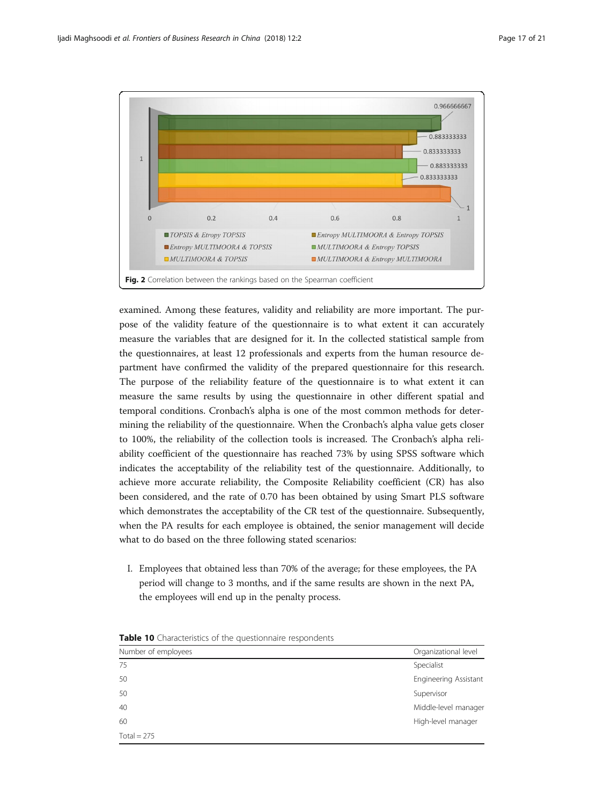<span id="page-16-0"></span>

examined. Among these features, validity and reliability are more important. The purpose of the validity feature of the questionnaire is to what extent it can accurately measure the variables that are designed for it. In the collected statistical sample from the questionnaires, at least 12 professionals and experts from the human resource department have confirmed the validity of the prepared questionnaire for this research. The purpose of the reliability feature of the questionnaire is to what extent it can measure the same results by using the questionnaire in other different spatial and temporal conditions. Cronbach's alpha is one of the most common methods for determining the reliability of the questionnaire. When the Cronbach's alpha value gets closer to 100%, the reliability of the collection tools is increased. The Cronbach's alpha reliability coefficient of the questionnaire has reached 73% by using SPSS software which indicates the acceptability of the reliability test of the questionnaire. Additionally, to achieve more accurate reliability, the Composite Reliability coefficient (CR) has also been considered, and the rate of 0.70 has been obtained by using Smart PLS software which demonstrates the acceptability of the CR test of the questionnaire. Subsequently, when the PA results for each employee is obtained, the senior management will decide what to do based on the three following stated scenarios:

I. Employees that obtained less than 70% of the average; for these employees, the PA period will change to 3 months, and if the same results are shown in the next PA, the employees will end up in the penalty process.

| Number of employees | Organizational level         |
|---------------------|------------------------------|
| 75                  | Specialist                   |
| 50                  | <b>Engineering Assistant</b> |
| 50                  | Supervisor                   |
| 40                  | Middle-level manager         |
| 60                  | High-level manager           |
| Total = $275$       |                              |

Table 10 Characteristics of the questionnaire respondents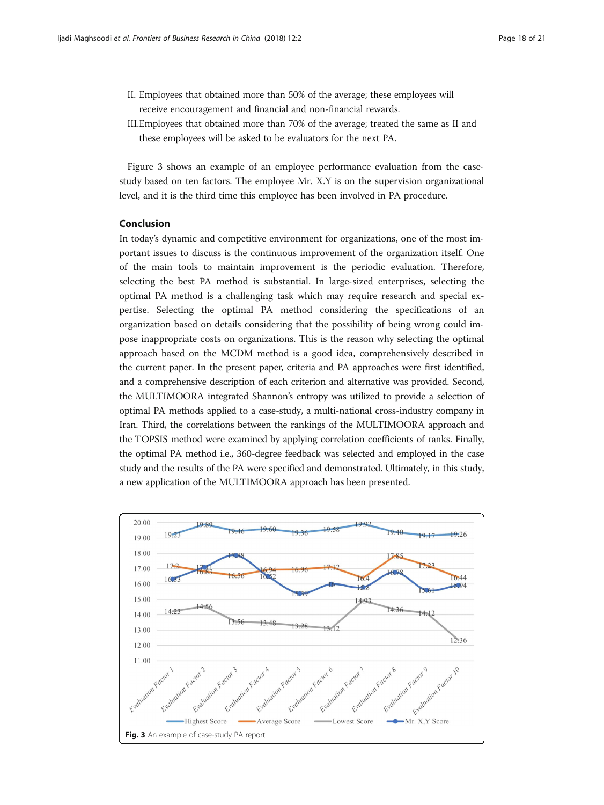- <span id="page-17-0"></span>II. Employees that obtained more than 50% of the average; these employees will receive encouragement and financial and non-financial rewards.
- III.Employees that obtained more than 70% of the average; treated the same as II and these employees will be asked to be evaluators for the next PA.

Figure 3 shows an example of an employee performance evaluation from the casestudy based on ten factors. The employee Mr. X.Y is on the supervision organizational level, and it is the third time this employee has been involved in PA procedure.

# Conclusion

In today's dynamic and competitive environment for organizations, one of the most important issues to discuss is the continuous improvement of the organization itself. One of the main tools to maintain improvement is the periodic evaluation. Therefore, selecting the best PA method is substantial. In large-sized enterprises, selecting the optimal PA method is a challenging task which may require research and special expertise. Selecting the optimal PA method considering the specifications of an organization based on details considering that the possibility of being wrong could impose inappropriate costs on organizations. This is the reason why selecting the optimal approach based on the MCDM method is a good idea, comprehensively described in the current paper. In the present paper, criteria and PA approaches were first identified, and a comprehensive description of each criterion and alternative was provided. Second, the MULTIMOORA integrated Shannon's entropy was utilized to provide a selection of optimal PA methods applied to a case-study, a multi-national cross-industry company in Iran. Third, the correlations between the rankings of the MULTIMOORA approach and the TOPSIS method were examined by applying correlation coefficients of ranks. Finally, the optimal PA method i.e., 360-degree feedback was selected and employed in the case study and the results of the PA were specified and demonstrated. Ultimately, in this study, a new application of the MULTIMOORA approach has been presented.

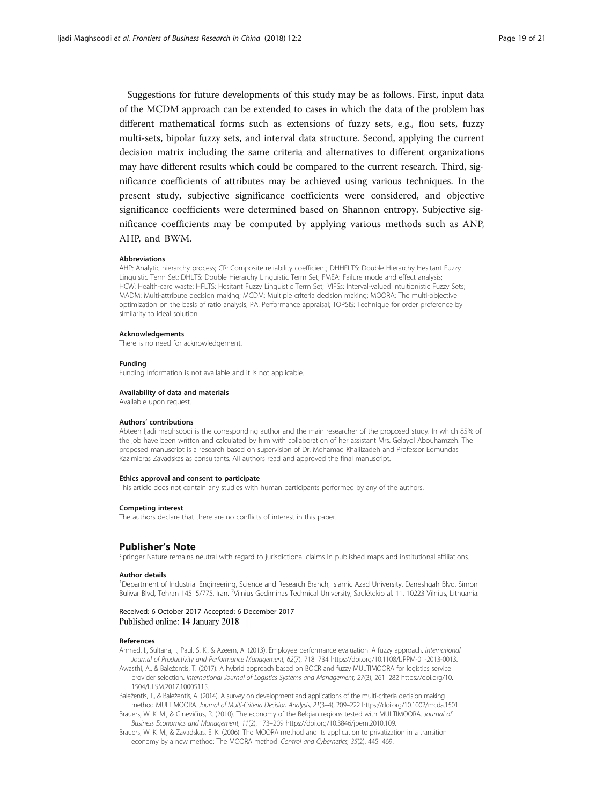<span id="page-18-0"></span>Suggestions for future developments of this study may be as follows. First, input data of the MCDM approach can be extended to cases in which the data of the problem has different mathematical forms such as extensions of fuzzy sets, e.g., flou sets, fuzzy multi-sets, bipolar fuzzy sets, and interval data structure. Second, applying the current decision matrix including the same criteria and alternatives to different organizations may have different results which could be compared to the current research. Third, significance coefficients of attributes may be achieved using various techniques. In the present study, subjective significance coefficients were considered, and objective significance coefficients were determined based on Shannon entropy. Subjective significance coefficients may be computed by applying various methods such as ANP, AHP, and BWM.

#### Abbreviations

AHP: Analytic hierarchy process; CR: Composite reliability coefficient; DHHFLTS: Double Hierarchy Hesitant Fuzzy Linguistic Term Set; DHLTS: Double Hierarchy Linguistic Term Set; FMEA: Failure mode and effect analysis; HCW: Health-care waste; HFLTS: Hesitant Fuzzy Linguistic Term Set; IVIFSs: Interval-valued Intuitionistic Fuzzy Sets; MADM: Multi-attribute decision making; MCDM: Multiple criteria decision making; MOORA: The multi-objective optimization on the basis of ratio analysis; PA: Performance appraisal; TOPSIS: Technique for order preference by similarity to ideal solution

#### Acknowledgements

There is no need for acknowledgement.

#### Funding

Funding Information is not available and it is not applicable.

#### Availability of data and materials

Available upon request.

#### Authors' contributions

Abteen Ijadi maghsoodi is the corresponding author and the main researcher of the proposed study. In which 85% of the job have been written and calculated by him with collaboration of her assistant Mrs. Gelayol Abouhamzeh. The proposed manuscript is a research based on supervision of Dr. Mohamad Khalilzadeh and Professor Edmundas Kazimieras Zavadskas as consultants. All authors read and approved the final manuscript.

#### Ethics approval and consent to participate

This article does not contain any studies with human participants performed by any of the authors.

#### Competing interest

The authors declare that there are no conflicts of interest in this paper.

# Publisher's Note

Springer Nature remains neutral with regard to jurisdictional claims in published maps and institutional affiliations.

#### Author details

1 Department of Industrial Engineering, Science and Research Branch, Islamic Azad University, Daneshgah Blvd, Simon Bulivar Blvd, Tehran 14515/775, Iran. <sup>2</sup>Vilnius Gediminas Technical University, Saulėtekio al. 11, 10223 Vilnius, Lithuania.

## Received: 6 October 2017 Accepted: 6 December 2017 Published online: 14 January 2018

#### References

Ahmed, I., Sultana, I., Paul, S. K., & Azeem, A. (2013). Employee performance evaluation: A fuzzy approach. International Journal of Productivity and Performance Management, 62(7), 718–734 [https://doi.org/10.1108/IJPPM-01-2013-0013](http://dx.doi.org/10.1108/IJPPM-01-2013-0013).

Awasthi, A., & Baležentis, T. (2017). A hybrid approach based on BOCR and fuzzy MULTIMOORA for logistics service provider selection. International Journal of Logistics Systems and Management, 27(3), 261–282 [https://doi.org/10.](http://dx.doi.org/10.1504/IJLSM.2017.10005115) [1504/IJLSM.2017.10005115.](http://dx.doi.org/10.1504/IJLSM.2017.10005115)

Baležentis, T., & Baležentis, A. (2014). A survey on development and applications of the multi-criteria decision making method MULTIMOORA. Journal of Multi-Criteria Decision Analysis, 21(3–4), 209–222 [https://doi.org/10.1002/mcda.1501](http://dx.doi.org/10.1002/mcda.1501).

Brauers, W. K. M., & Ginevičius, R. (2010). The economy of the Belgian regions tested with MULTIMOORA. Journal of Business Economics and Management, 11(2), 173–209 [https://doi.org/10.3846/jbem.2010.109.](http://dx.doi.org/10.3846/jbem.2010.109)

Brauers, W. K. M., & Zavadskas, E. K. (2006). The MOORA method and its application to privatization in a transition economy by a new method: The MOORA method. Control and Cybernetics, 35(2), 445–469.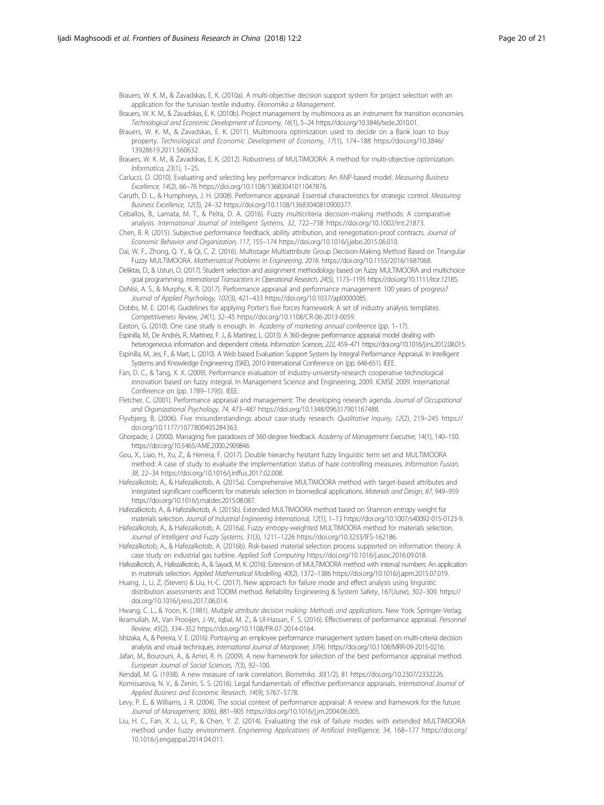<span id="page-19-0"></span>Brauers, W. K. M., & Zavadskas, E. K. (2010a). A multi-objective decision support system for project selection with an application for the tunisian textile industry. Ekonomika a Management.

Brauers, W. K. M., & Zavadskas, E. K. (2010b). Project management by multimoora as an instrument for transition economies. Technological and Economic Development of Economy, 16(1), 5–24 [https://doi.org/10.3846/tede.2010.01](http://dx.doi.org/10.3846/tede.2010.01).

Brauers, W. K. M., & Zavadskas, E. K. (2011). Multimoora optimization used to decide on a Bank loan to buy property. Technological and Economic Development of Economy, 17(1), 174–188 [https://doi.org/10.3846/](http://dx.doi.org/10.3846/13928619.2011.560632) [13928619.2011.560632](http://dx.doi.org/10.3846/13928619.2011.560632).

Brauers, W. K. M., & Zavadskas, E. K. (2012). Robustness of MULTIMOORA: A method for multi-objective optimization. Informatica, 23(1), 1–25.

Carlucci, D. (2010). Evaluating and selecting key performance indicators: An ANP-based model. Measuring Business Excellence, 14(2), 66–76 [https://doi.org/10.1108/13683041011047876.](http://dx.doi.org/10.1108/13683041011047876)

Caruth, D. L., & Humphreys, J. H. (2008). Performance appraisal: Essential characteristics for strategic control. Measuring Business Excellence, 12(3), 24–32 [https://doi.org/10.1108/13683040810900377](http://dx.doi.org/10.1108/13683040810900377).

Ceballos, B., Lamata, M. T., & Pelta, D. A. (2016). Fuzzy multicriteria decision-making methods: A comparative analysis. International Journal of Intelligent Systems, 32, 722–738 [https://doi.org/10.1002/int.21873.](http://dx.doi.org/10.1002/int.21873)

Chen, B. R. (2015). Subjective performance feedback, ability attribution, and renegotiation-proof contracts. Journal of Economic Behavior and Organization, 117, 155–174 [https://doi.org/10.1016/j.jebo.2015.06.010.](http://dx.doi.org/10.1016/j.jebo.2015.06.010)

Dai, W. F., Zhong, Q. Y., & Qi, C. Z. (2016). Multistage Multiattribute Group Decision-Making Method Based on Triangular Fuzzy MULTIMOORA. Mathematical Problems in Engineering, 2016. [https://doi.org/10.1155/2016/1687068.](http://dx.doi.org/10.1155/2016/1687068)

Deliktas, D., & Ustun, O. (2017). Student selection and assignment methodology based on fuzzy MULTIMOORA and multichoice goal programming. International Transactions in Operational Research, 24(5), 1173–1195 [https://doi.org/10.1111/itor.12185](http://dx.doi.org/10.1111/itor.12185).

DeNisi, A. S., & Murphy, K. R. (2017). Performance appraisal and performance management: 100 years of progress? Journal of Applied Psychology, 102(3), 421–433 [https://doi.org/10.1037/apl0000085](http://dx.doi.org/10.1037/apl0000085).

Dobbs, M. E. (2014). Guidelines for applying Porter's five forces framework: A set of industry analysis templates. Competitiveness Review, 24(1), 32–45 [https://doi.org/10.1108/CR-06-2013-0059](http://dx.doi.org/10.1108/CR-06-2013-0059).

Easton, G. (2010). One case study is enough. In Academy of marketing annual conference (pp. 1–17). Espinilla, M., De Andrés, R., Martínez, F. J., & Martínez, L. (2013). A 360-degree performance appraisal model dealing with

heterogeneous information and dependent criteria. Information Sciences, 222, 459–471 [https://doi.org/10.1016/j.ins.2012.08.015](http://dx.doi.org/10.1016/j.ins.2012.08.015). Espinilla, M., Jes, F., & Mart, L. (2010). A Web based Evaluation Support System by Integral Performance Appraisal. In Intelligent Systems and Knowledge Engineering (ISKE), 2010 International Conference on (pp. 646-651). IEEE.

Fan, D. C., & Tang, X. X. (2009). Performance evaluation of industry-university-research cooperative technological innovation based on fuzzy integral. In Management Science and Engineering, 2009. ICMSE 2009. International Conference on (pp. 1789–1795). IEEE.

Fletcher, C. (2001). Performance appraisal and management: The developing research agenda. Journal of Occupational and Organizational Psychology, 74, 473–487 [https://doi.org/10.1348/096317901167488](http://dx.doi.org/10.1348/096317901167488).

Flyvbjerg, B. (2006). Five misunderstandings about case-study research. Qualitative Inquiry, 12(2), 219–245 [https://](http://dx.doi.org/10.1177/1077800405284363) [doi.org/10.1177/1077800405284363.](http://dx.doi.org/10.1177/1077800405284363)

Ghorpade, J. (2000). Managing five paradoxes of 360-degree feedback. Academy of Management Executive, 14(1), 140–150. [https://doi.org/10.5465/AME.2000.2909846](http://dx.doi.org/10.5465/AME.2000.2909846)

Gou, X., Liao, H., Xu, Z., & Herrera, F. (2017). Double hierarchy hesitant fuzzy linguistic term set and MULTIMOORA method: A case of study to evaluate the implementation status of haze controlling measures. Information Fusion, 38, 22–34 [https://doi.org/10.1016/j.inffus.2017.02.008](http://dx.doi.org/10.1016/j.inffus.2017.02.008).

Hafezalkotob, A., & Hafezalkotob, A. (2015a). Comprehensive MULTIMOORA method with target-based attributes and integrated significant coefficients for materials selection in biomedical applications. Materials and Design, 87, 949–959 [https://doi.org/10.1016/j.matdes.2015.08.087.](http://dx.doi.org/10.1016/j.matdes.2015.08.087)

Hafezalkotob, A., & Hafezalkotob, A. (2015b). Extended MULTIMOORA method based on Shannon entropy weight for materials selection. Journal of Industrial Engineering International, 12(1), 1–13 [https://doi.org/10.1007/s40092-015-0123-9](http://dx.doi.org/10.1007/s40092-015-0123-9).

Hafezalkotob, A., & Hafezalkotob, A. (2016a). Fuzzy entropy-weighted MULTIMOORA method for materials selection. Journal of Intelligent and Fuzzy Systems, 31(3), 1211–1226 [https://doi.org/10.3233/IFS-162186.](http://dx.doi.org/10.3233/IFS-162186)

Hafezalkotob, A., & Hafezalkotob, A. (2016b). Risk-based material selection process supported on information theory: A case study on industrial gas turbine. Applied Soft Computing [https://doi.org/10.1016/j.asoc.2016.09.018.](http://dx.doi.org/10.1016/j.asoc.2016.09.018)

Hafezalkotob, A., Hafezalkotob, A., & Sayadi, M. K. (2016). Extension of MULTIMOORA method with interval numbers: An application in materials selection. Applied Mathematical Modelling, 40(2), 1372–1386 [https://doi.org/10.1016/j.apm.2015.07.019.](http://dx.doi.org/10.1016/j.apm.2015.07.019)

Huang, J., Li, Z, (Steven) & Liu, H.-C. (2017). New approach for failure mode and effect analysis using linguistic distribution assessments and TODIM method. Reliability Engineering & System Safety, 167(June), 302–309. [https://](http://dx.doi.org/10.1016/j.ress.2017.06.014) [doi.org/10.1016/j.ress.2017.06.014.](http://dx.doi.org/10.1016/j.ress.2017.06.014)

Hwang, C. L., & Yoon, K. (1981). Multiple attribute decision making: Methods and applications. New York: Springer-Verlag. Ikramullah, M., Van Prooijen, J.-W., Iqbal, M. Z., & Ul-Hassan, F. S. (2016). Effectiveness of performance appraisal. Personnel Review, 45(2), 334–352 [https://doi.org/10.1108/PR-07-2014-0164](http://dx.doi.org/10.1108/PR-07-2014-0164).

Ishizaka, A., & Pereira, V. E. (2016). Portraying an employee performance management system based on multi-criteria decision analysis and visual techniques. International Journal of Manpower, 37(4). [https://doi.org/10.1108/MRR-09-2015-0216.](http://dx.doi.org/10.1108/MRR-09-2015-0216)

Jafari, M., Bourouni, A., & Amiri, R. H. (2009). A new framework for selection of the best performance appraisal method. European Journal of Social Sciences, 7(3), 92–100.

Kendall, M. G. (1938). A new measure of rank correlation. Biometrika, 30(1/2), 81 [https://doi.org/10.2307/2332226.](http://dx.doi.org/10.2307/2332226)

Komissarova, N. V., & Zenin, S. S. (2016). Legal fundamentals of effective performance appraisals. International Journal of Applied Business and Economic Research, 14(9), 5767–5778.

Levy, P. E., & Williams, J. R. (2004). The social context of performance appraisal: A review and framework for the future. Journal of Management, 30(6), 881–905 [https://doi.org/10.1016/j.jm.2004.06.005](http://dx.doi.org/10.1016/j.jm.2004.06.005).

Liu, H. C., Fan, X. J., Li, P., & Chen, Y. Z. (2014). Evaluating the risk of failure modes with extended MULTIMOORA method under fuzzy environment. Engineering Applications of Artificial Intelligence, 34, 168–177 [https://doi.org/](http://dx.doi.org/10.1016/j.engappai.2014.04.011) [10.1016/j.engappai.2014.04.011](http://dx.doi.org/10.1016/j.engappai.2014.04.011).